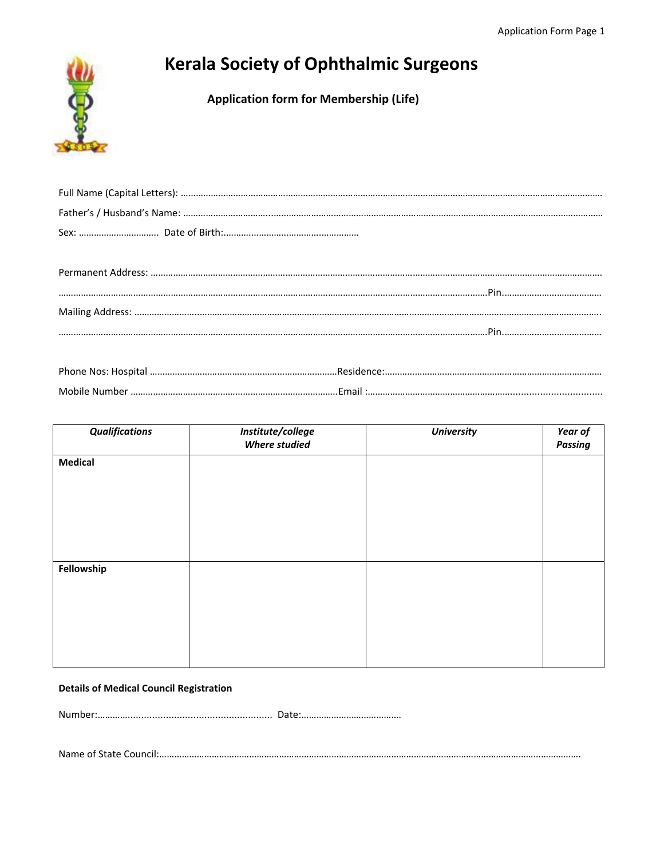

# **Kerala Society of Ophthalmic Surgeons**

 **Application form for Membership (Life)**

| Dhono Noc: Hocnital | Posidonco: |
|---------------------|------------|

| Phone Nos: |  |
|------------|--|
| Mobile     |  |

| <b>Qualifications</b> | Institute/college<br><b>Where studied</b> | <b>University</b> | Year of<br><b>Passing</b> |
|-----------------------|-------------------------------------------|-------------------|---------------------------|
| <b>Medical</b>        |                                           |                   |                           |
|                       |                                           |                   |                           |
|                       |                                           |                   |                           |
|                       |                                           |                   |                           |
|                       |                                           |                   |                           |
| Fellowship            |                                           |                   |                           |
|                       |                                           |                   |                           |
|                       |                                           |                   |                           |
|                       |                                           |                   |                           |
|                       |                                           |                   |                           |

## **Details of Medical Council Registration**

Number:…………..................................................... Date:………………………………….

Name of State Council:…………………………………………………………………………………………………………………………………………………….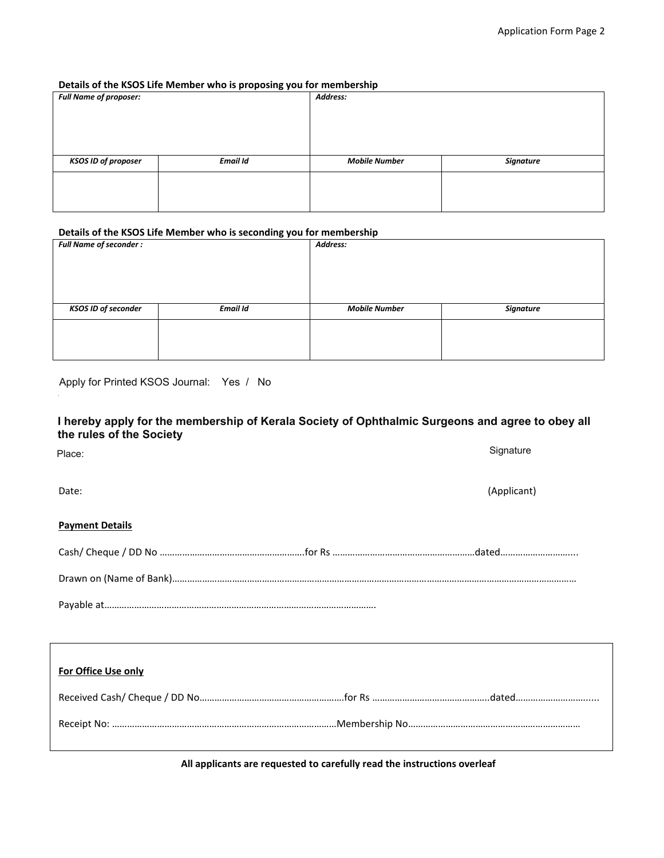### **Details of the KSOS Life Member who is proposing you for membership**

| <b>Full Name of proposer:</b> | . .<br>$\cdot$ $\cdot$ | Address:             |                  |
|-------------------------------|------------------------|----------------------|------------------|
| <b>KSOS ID of proposer</b>    | <b>Email Id</b>        | <b>Mobile Number</b> | <b>Signature</b> |
|                               |                        |                      |                  |
|                               |                        |                      |                  |

#### **Details of the KSOS Life Member who is seconding you for membership**

| <b>Full Name of seconder:</b> |                 | Address:             |                  |
|-------------------------------|-----------------|----------------------|------------------|
|                               |                 |                      |                  |
|                               |                 |                      |                  |
|                               |                 |                      |                  |
|                               |                 |                      |                  |
| <b>KSOS ID of seconder</b>    | <b>Email Id</b> | <b>Mobile Number</b> | <b>Signature</b> |
|                               |                 |                      |                  |
|                               |                 |                      |                  |
|                               |                 |                      |                  |

Apply for Printed KSOS Journal: Yes / No **Apply 30 Apply 1999 and agree to obtain the Surgeons Apply for Printed KSOS Journal:** Yes / No

# I hereby apply for the membership of Kerala Society of Ophthalmic Surgeons and agree to obey all **the rules of the Society**

Date: (Applicant) **Payment Details** Cash/ Cheque / DD No ……………………………………………………for Rs …………………………………………………………dated…………………………… Place: Signature Place:

Drawn on (Name of Bank)………………………………………………………………………………………………………………………………………………

Payable at……………………………………………………………………………………………….

| For Office Use only |  |
|---------------------|--|
|                     |  |
|                     |  |

 **All applicants are requested to carefully read the instructions overleaf**